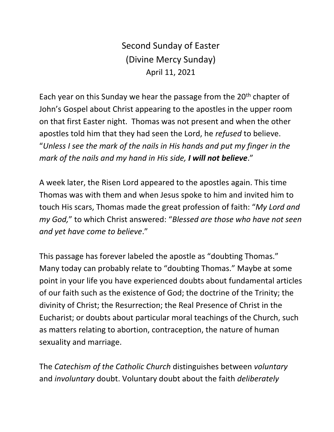Second Sunday of Easter (Divine Mercy Sunday) April 11, 2021

Each year on this Sunday we hear the passage from the 20<sup>th</sup> chapter of John's Gospel about Christ appearing to the apostles in the upper room on that first Easter night. Thomas was not present and when the other apostles told him that they had seen the Lord, he *refused* to believe. "*Unless I see the mark of the nails in His hands and put my finger in the mark of the nails and my hand in His side, I will not believe*."

A week later, the Risen Lord appeared to the apostles again. This time Thomas was with them and when Jesus spoke to him and invited him to touch His scars, Thomas made the great profession of faith: "*My Lord and my God,*" to which Christ answered: "*Blessed are those who have not seen and yet have come to believe*."

This passage has forever labeled the apostle as "doubting Thomas." Many today can probably relate to "doubting Thomas." Maybe at some point in your life you have experienced doubts about fundamental articles of our faith such as the existence of God; the doctrine of the Trinity; the divinity of Christ; the Resurrection; the Real Presence of Christ in the Eucharist; or doubts about particular moral teachings of the Church, such as matters relating to abortion, contraception, the nature of human sexuality and marriage.

The *Catechism of the Catholic Church* distinguishes between *voluntary* and *involuntary* doubt. Voluntary doubt about the faith *deliberately*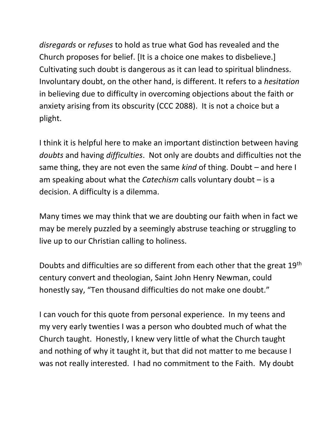*disregards* or *refuses* to hold as true what God has revealed and the Church proposes for belief. [It is a choice one makes to disbelieve.] Cultivating such doubt is dangerous as it can lead to spiritual blindness. Involuntary doubt, on the other hand, is different. It refers to a *hesitation* in believing due to difficulty in overcoming objections about the faith or anxiety arising from its obscurity (CCC 2088). It is not a choice but a plight.

I think it is helpful here to make an important distinction between having *doubts* and having *difficulties*. Not only are doubts and difficulties not the same thing, they are not even the same *kind* of thing. Doubt – and here I am speaking about what the *Catechism* calls voluntary doubt – is a decision. A difficulty is a dilemma.

Many times we may think that we are doubting our faith when in fact we may be merely puzzled by a seemingly abstruse teaching or struggling to live up to our Christian calling to holiness.

Doubts and difficulties are so different from each other that the great 19th century convert and theologian, Saint John Henry Newman, could honestly say, "Ten thousand difficulties do not make one doubt."

I can vouch for this quote from personal experience. In my teens and my very early twenties I was a person who doubted much of what the Church taught. Honestly, I knew very little of what the Church taught and nothing of why it taught it, but that did not matter to me because I was not really interested. I had no commitment to the Faith. My doubt